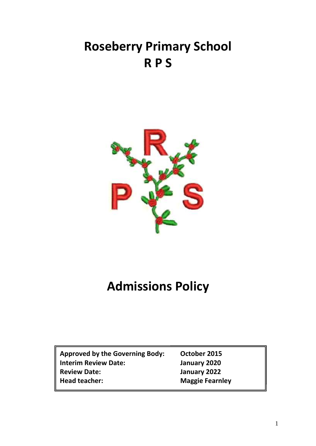## **Roseberry Primary School R P S**



## **Admissions Policy**

| Approved by the Governing Body: |
|---------------------------------|
| <b>Interim Review Date:</b>     |
| <b>Review Date:</b>             |
| Head teacher:                   |

**Approxement Approxement Body Interim Review Date: January 2020 Review Date: January 2022 Maggie Fearnley**